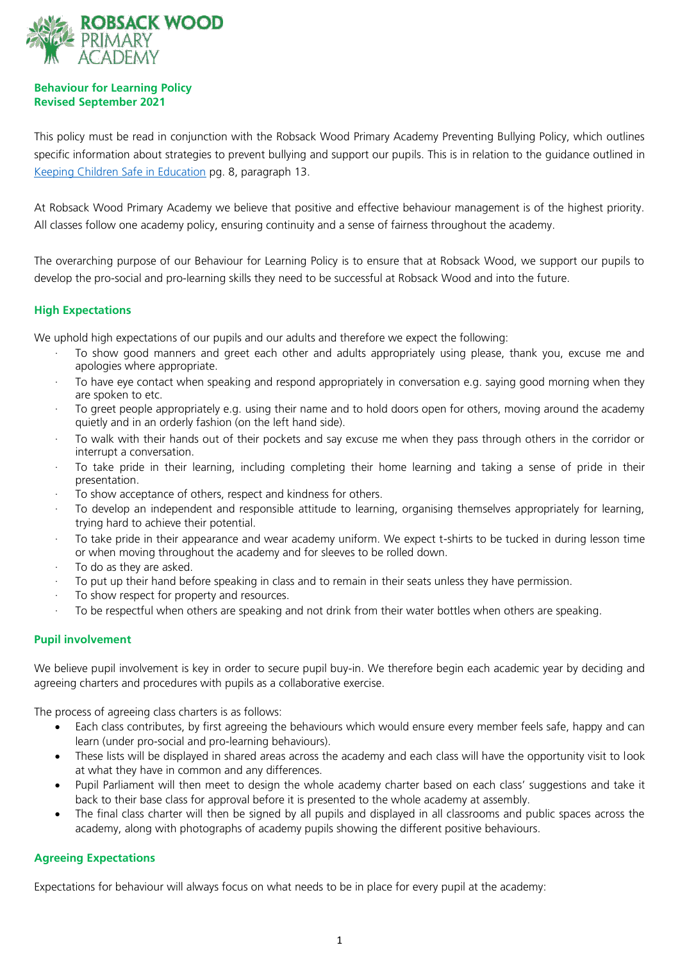

# **Behaviour for Learning Policy Revised September 2021**

This policy must be read in conjunction with the Robsack Wood Primary Academy Preventing Bullying Policy, which outlines specific information about strategies to prevent bullying and support our pupils. This is in relation to the guidance outlined in [Keeping Children Safe in Education](https://assets.publishing.service.gov.uk/government/uploads/system/uploads/attachment_data/file/1021914/KCSIE_2021_September_guidance.pdf) pg. 8, paragraph 13.

At Robsack Wood Primary Academy we believe that positive and effective behaviour management is of the highest priority. All classes follow one academy policy, ensuring continuity and a sense of fairness throughout the academy.

The overarching purpose of our Behaviour for Learning Policy is to ensure that at Robsack Wood, we support our pupils to develop the pro-social and pro-learning skills they need to be successful at Robsack Wood and into the future.

# **High Expectations**

We uphold high expectations of our pupils and our adults and therefore we expect the following:

- · To show good manners and greet each other and adults appropriately using please, thank you, excuse me and apologies where appropriate.
- To have eye contact when speaking and respond appropriately in conversation e.g. saying good morning when they are spoken to etc.
- · To greet people appropriately e.g. using their name and to hold doors open for others, moving around the academy quietly and in an orderly fashion (on the left hand side).
- · To walk with their hands out of their pockets and say excuse me when they pass through others in the corridor or interrupt a conversation.
- To take pride in their learning, including completing their home learning and taking a sense of pride in their presentation.
- To show acceptance of others, respect and kindness for others.
- · To develop an independent and responsible attitude to learning, organising themselves appropriately for learning, trying hard to achieve their potential.
- · To take pride in their appearance and wear academy uniform. We expect t-shirts to be tucked in during lesson time or when moving throughout the academy and for sleeves to be rolled down.
- · To do as they are asked.
- · To put up their hand before speaking in class and to remain in their seats unless they have permission.
- To show respect for property and resources.
- To be respectful when others are speaking and not drink from their water bottles when others are speaking.

# **Pupil involvement**

We believe pupil involvement is key in order to secure pupil buy-in. We therefore begin each academic year by deciding and agreeing charters and procedures with pupils as a collaborative exercise.

The process of agreeing class charters is as follows:

- Each class contributes, by first agreeing the behaviours which would ensure every member feels safe, happy and can learn (under pro-social and pro-learning behaviours).
- These lists will be displayed in shared areas across the academy and each class will have the opportunity visit to look at what they have in common and any differences.
- Pupil Parliament will then meet to design the whole academy charter based on each class' suggestions and take it back to their base class for approval before it is presented to the whole academy at assembly.
- The final class charter will then be signed by all pupils and displayed in all classrooms and public spaces across the academy, along with photographs of academy pupils showing the different positive behaviours.

# **Agreeing Expectations**

Expectations for behaviour will always focus on what needs to be in place for every pupil at the academy: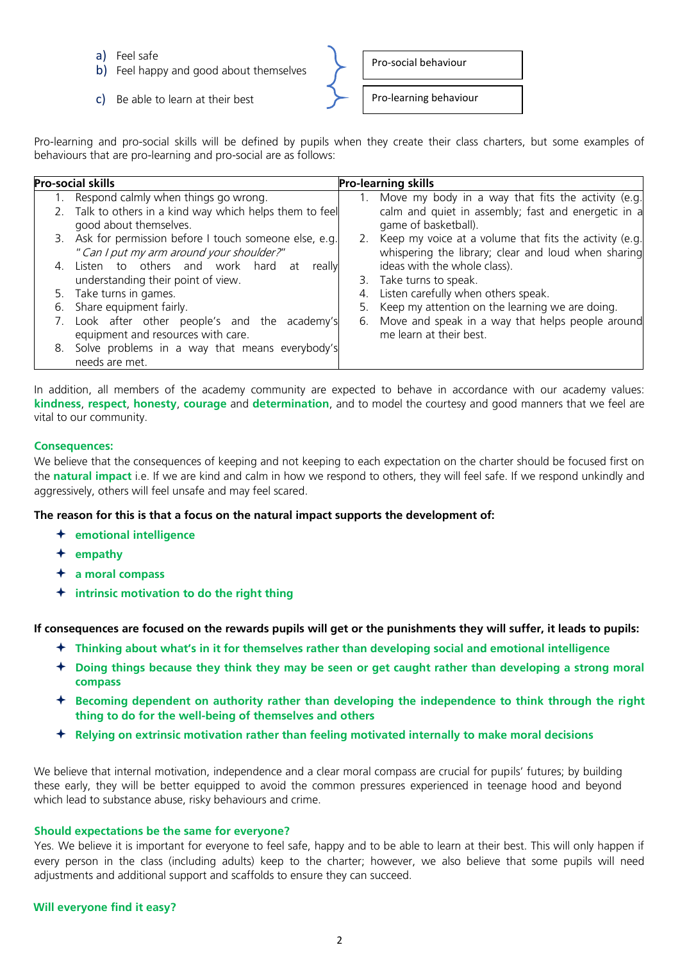- a) Feel safe
- b) Feel happy and good about themselves
- c) Be able to learn at their best

Pro-social behaviour

Pro-learning behaviour

Pro-learning and pro-social skills will be defined by pupils when they create their class charters, but some examples of behaviours that are pro-learning and pro-social are as follows:

| <b>Pro-social skills</b> |                                                                                                      | <b>Pro-learning skills</b> |                                                                                                                  |
|--------------------------|------------------------------------------------------------------------------------------------------|----------------------------|------------------------------------------------------------------------------------------------------------------|
|                          | Respond calmly when things go wrong.                                                                 | 1.                         | Move my body in a way that fits the activity (e.g.                                                               |
|                          | 2. Talk to others in a kind way which helps them to feel<br>good about themselves.                   |                            | calm and quiet in assembly; fast and energetic in a<br>game of basketball).                                      |
|                          | 3. Ask for permission before I touch someone else, e.g.<br>" Can I put my arm around your shoulder?" |                            | 2. Keep my voice at a volume that fits the activity (e.g.<br>whispering the library; clear and loud when sharing |
| $\mathcal{A}_{\cdot}$    | Listen to others and work hard at<br>really<br>understanding their point of view.                    |                            | ideas with the whole class).<br>3. Take turns to speak.                                                          |
|                          | 5. Take turns in games.                                                                              |                            | Listen carefully when others speak.                                                                              |
|                          | 6. Share equipment fairly.                                                                           | 5.                         | Keep my attention on the learning we are doing.                                                                  |
| $\mathcal{L}$ .          | Look after other people's and the academy's<br>equipment and resources with care.                    | 6.                         | Move and speak in a way that helps people around<br>me learn at their best.                                      |
|                          | 8. Solve problems in a way that means everybody's<br>needs are met.                                  |                            |                                                                                                                  |

In addition, all members of the academy community are expected to behave in accordance with our academy values: **kindness**, **respect**, **honesty**, **courage** and **determination**, and to model the courtesy and good manners that we feel are vital to our community.

# **Consequences:**

We believe that the consequences of keeping and not keeping to each expectation on the charter should be focused first on the **natural impact** i.e. If we are kind and calm in how we respond to others, they will feel safe. If we respond unkindly and aggressively, others will feel unsafe and may feel scared.

# **The reason for this is that a focus on the natural impact supports the development of:**

- **emotional intelligence**
- **empathy**
- **a moral compass**
- **intrinsic motivation to do the right thing**

**If consequences are focused on the rewards pupils will get or the punishments they will suffer, it leads to pupils:** 

- **Thinking about what's in it for themselves rather than developing social and emotional intelligence**
- **Doing things because they think they may be seen or get caught rather than developing a strong moral compass**
- **Becoming dependent on authority rather than developing the independence to think through the right thing to do for the well-being of themselves and others**
- **Relying on extrinsic motivation rather than feeling motivated internally to make moral decisions**

We believe that internal motivation, independence and a clear moral compass are crucial for pupils' futures; by building these early, they will be better equipped to avoid the common pressures experienced in teenage hood and beyond which lead to substance abuse, risky behaviours and crime.

# **Should expectations be the same for everyone?**

Yes. We believe it is important for everyone to feel safe, happy and to be able to learn at their best. This will only happen if every person in the class (including adults) keep to the charter; however, we also believe that some pupils will need adjustments and additional support and scaffolds to ensure they can succeed.

# **Will everyone find it easy?**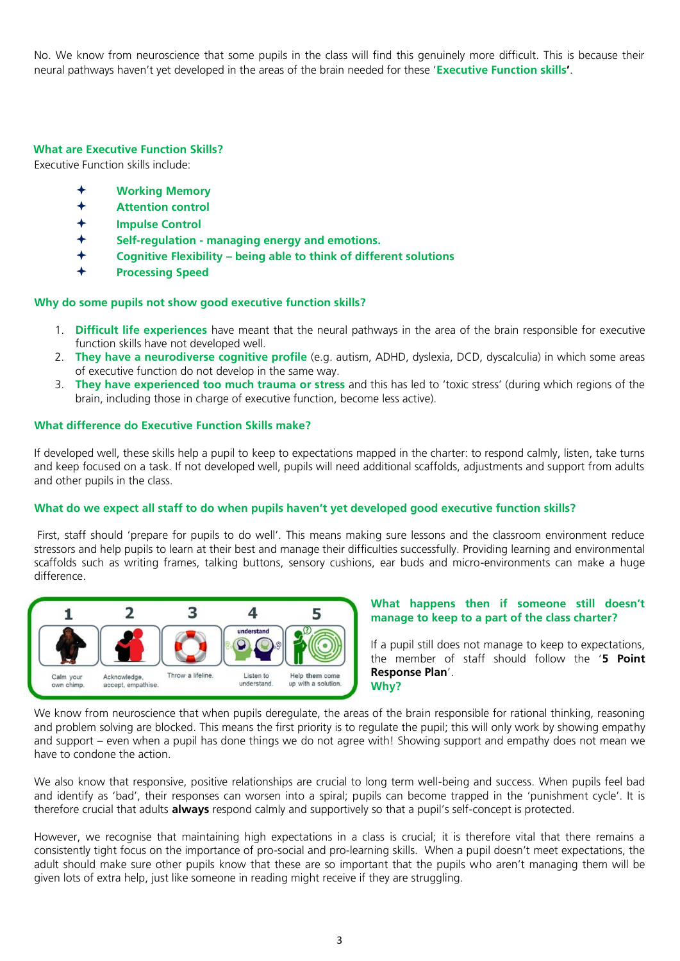No. We know from neuroscience that some pupils in the class will find this genuinely more difficult. This is because their neural pathways haven't yet developed in the areas of the brain needed for these '**Executive Function skills'**.

# **What are Executive Function Skills?**

Executive Function skills include:

- **Working Memory**
- **Attention control**
- **Impulse Control**
- **Self-regulation - managing energy and emotions.**
- **Cognitive Flexibility – being able to think of different solutions**
- **Processing Speed**

#### **Why do some pupils not show good executive function skills?**

- 1. **Difficult life experiences** have meant that the neural pathways in the area of the brain responsible for executive function skills have not developed well.
- 2. **They have a neurodiverse cognitive profile** (e.g. autism, ADHD, dyslexia, DCD, dyscalculia) in which some areas of executive function do not develop in the same way.
- 3. **They have experienced too much trauma or stress** and this has led to 'toxic stress' (during which regions of the brain, including those in charge of executive function, become less active).

#### **What difference do Executive Function Skills make?**

If developed well, these skills help a pupil to keep to expectations mapped in the charter: to respond calmly, listen, take turns and keep focused on a task. If not developed well, pupils will need additional scaffolds, adjustments and support from adults and other pupils in the class.

### **What do we expect all staff to do when pupils haven't yet developed good executive function skills?**

First, staff should 'prepare for pupils to do well'. This means making sure lessons and the classroom environment reduce stressors and help pupils to learn at their best and manage their difficulties successfully. Providing learning and environmental scaffolds such as writing frames, talking buttons, sensory cushions, ear buds and micro-environments can make a huge difference.



#### **What happens then if someone still doesn't manage to keep to a part of the class charter?**

If a pupil still does not manage to keep to expectations, the member of staff should follow the '**5 Point Response Plan**'. **Why?** 

We know from neuroscience that when pupils deregulate, the areas of the brain responsible for rational thinking, reasoning and problem solving are blocked. This means the first priority is to regulate the pupil; this will only work by showing empathy and support – even when a pupil has done things we do not agree with! Showing support and empathy does not mean we have to condone the action.

We also know that responsive, positive relationships are crucial to long term well-being and success. When pupils feel bad and identify as 'bad', their responses can worsen into a spiral; pupils can become trapped in the 'punishment cycle'. It is therefore crucial that adults **always** respond calmly and supportively so that a pupil's self-concept is protected.

However, we recognise that maintaining high expectations in a class is crucial; it is therefore vital that there remains a consistently tight focus on the importance of pro-social and pro-learning skills. When a pupil doesn't meet expectations, the adult should make sure other pupils know that these are so important that the pupils who aren't managing them will be given lots of extra help, just like someone in reading might receive if they are struggling.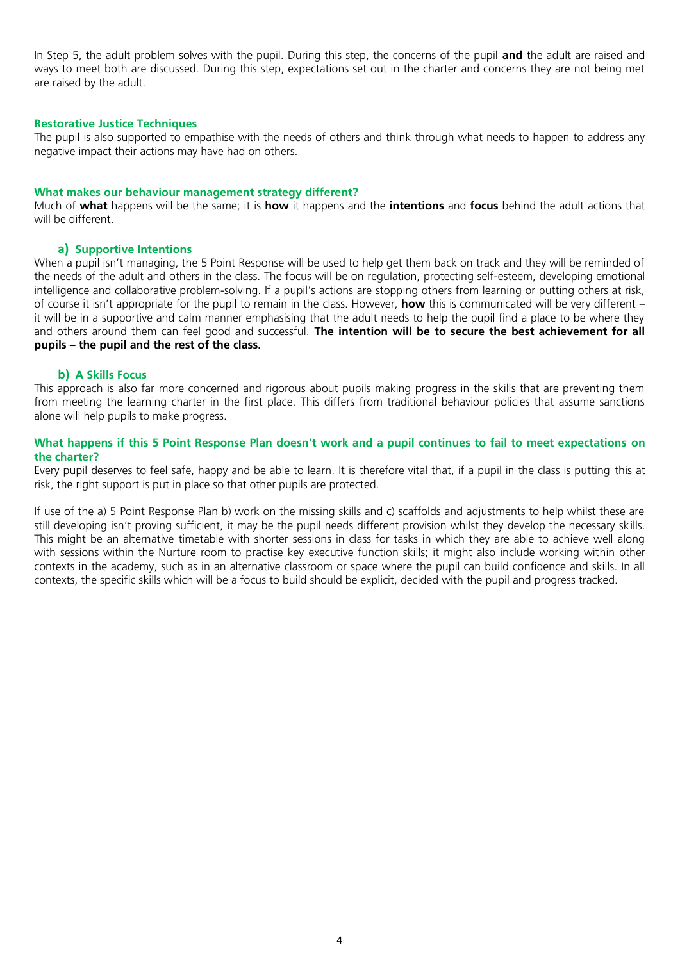In Step 5, the adult problem solves with the pupil. During this step, the concerns of the pupil **and** the adult are raised and ways to meet both are discussed. During this step, expectations set out in the charter and concerns they are not being met are raised by the adult.

#### **Restorative Justice Techniques**

The pupil is also supported to empathise with the needs of others and think through what needs to happen to address any negative impact their actions may have had on others.

#### **What makes our behaviour management strategy different?**

Much of **what** happens will be the same; it is **how** it happens and the **intentions** and **focus** behind the adult actions that will be different.

#### **a) Supportive Intentions**

When a pupil isn't managing, the 5 Point Response will be used to help get them back on track and they will be reminded of the needs of the adult and others in the class. The focus will be on regulation, protecting self-esteem, developing emotional intelligence and collaborative problem-solving. If a pupil's actions are stopping others from learning or putting others at risk, of course it isn't appropriate for the pupil to remain in the class. However, **how** this is communicated will be very different – it will be in a supportive and calm manner emphasising that the adult needs to help the pupil find a place to be where they and others around them can feel good and successful. **The intention will be to secure the best achievement for all pupils – the pupil and the rest of the class.** 

#### **b) A Skills Focus**

This approach is also far more concerned and rigorous about pupils making progress in the skills that are preventing them from meeting the learning charter in the first place. This differs from traditional behaviour policies that assume sanctions alone will help pupils to make progress.

### **What happens if this 5 Point Response Plan doesn't work and a pupil continues to fail to meet expectations on the charter?**

Every pupil deserves to feel safe, happy and be able to learn. It is therefore vital that, if a pupil in the class is putting this at risk, the right support is put in place so that other pupils are protected.

If use of the a) 5 Point Response Plan b) work on the missing skills and c) scaffolds and adjustments to help whilst these are still developing isn't proving sufficient, it may be the pupil needs different provision whilst they develop the necessary skills. This might be an alternative timetable with shorter sessions in class for tasks in which they are able to achieve well along with sessions within the Nurture room to practise key executive function skills; it might also include working within other contexts in the academy, such as in an alternative classroom or space where the pupil can build confidence and skills. In all contexts, the specific skills which will be a focus to build should be explicit, decided with the pupil and progress tracked.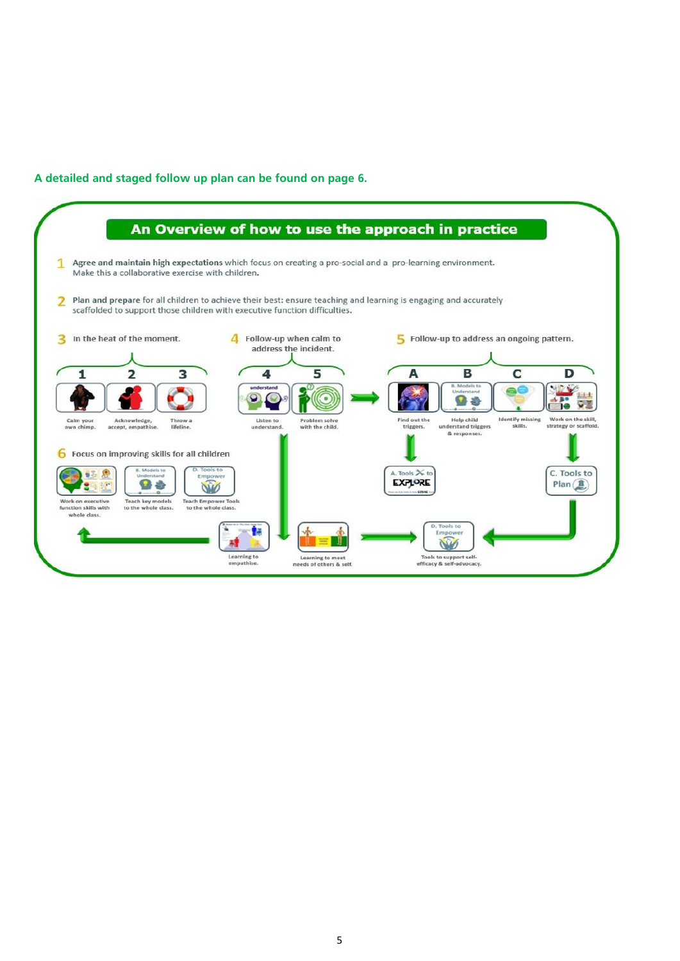# **A detailed and staged follow up plan can be found on page 6.**

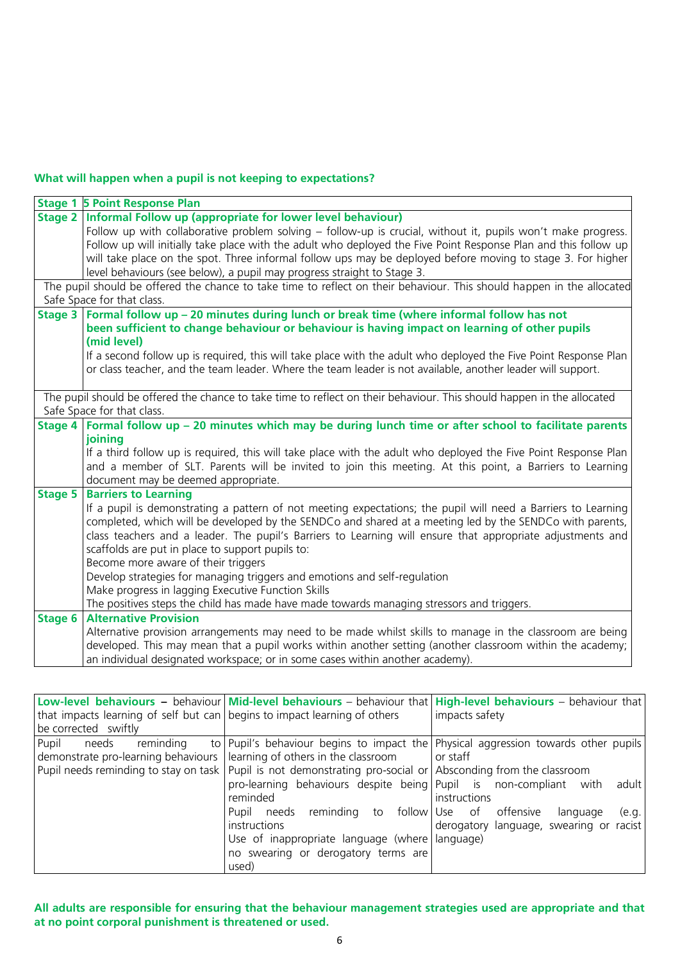# **What will happen when a pupil is not keeping to expectations?**

|                                                                                                                        | <b>Stage 1 5 Point Response Plan</b>                                                                                                            |  |  |  |
|------------------------------------------------------------------------------------------------------------------------|-------------------------------------------------------------------------------------------------------------------------------------------------|--|--|--|
| Stage 2                                                                                                                | Informal Follow up (appropriate for lower level behaviour)                                                                                      |  |  |  |
|                                                                                                                        | Follow up with collaborative problem solving – follow-up is crucial, without it, pupils won't make progress.                                    |  |  |  |
|                                                                                                                        | Follow up will initially take place with the adult who deployed the Five Point Response Plan and this follow up                                 |  |  |  |
|                                                                                                                        | will take place on the spot. Three informal follow ups may be deployed before moving to stage 3. For higher                                     |  |  |  |
|                                                                                                                        | level behaviours (see below), a pupil may progress straight to Stage 3.                                                                         |  |  |  |
| The pupil should be offered the chance to take time to reflect on their behaviour. This should happen in the allocated |                                                                                                                                                 |  |  |  |
| Safe Space for that class.                                                                                             |                                                                                                                                                 |  |  |  |
| <b>Stage 3</b>                                                                                                         | Formal follow up - 20 minutes during lunch or break time (where informal follow has not                                                         |  |  |  |
|                                                                                                                        | been sufficient to change behaviour or behaviour is having impact on learning of other pupils                                                   |  |  |  |
|                                                                                                                        | (mid level)                                                                                                                                     |  |  |  |
|                                                                                                                        | If a second follow up is required, this will take place with the adult who deployed the Five Point Response Plan                                |  |  |  |
|                                                                                                                        | or class teacher, and the team leader. Where the team leader is not available, another leader will support.                                     |  |  |  |
|                                                                                                                        |                                                                                                                                                 |  |  |  |
|                                                                                                                        | The pupil should be offered the chance to take time to reflect on their behaviour. This should happen in the allocated                          |  |  |  |
|                                                                                                                        | Safe Space for that class.                                                                                                                      |  |  |  |
| <b>Stage 4</b>                                                                                                         | Formal follow up - 20 minutes which may be during lunch time or after school to facilitate parents                                              |  |  |  |
|                                                                                                                        | joining                                                                                                                                         |  |  |  |
|                                                                                                                        | If a third follow up is required, this will take place with the adult who deployed the Five Point Response Plan                                 |  |  |  |
|                                                                                                                        | and a member of SLT. Parents will be invited to join this meeting. At this point, a Barriers to Learning<br>document may be deemed appropriate. |  |  |  |
| Stage 5                                                                                                                | <b>Barriers to Learning</b>                                                                                                                     |  |  |  |
|                                                                                                                        | If a pupil is demonstrating a pattern of not meeting expectations; the pupil will need a Barriers to Learning                                   |  |  |  |
|                                                                                                                        | completed, which will be developed by the SENDCo and shared at a meeting led by the SENDCo with parents,                                        |  |  |  |
|                                                                                                                        | class teachers and a leader. The pupil's Barriers to Learning will ensure that appropriate adjustments and                                      |  |  |  |
|                                                                                                                        | scaffolds are put in place to support pupils to:                                                                                                |  |  |  |
|                                                                                                                        | Become more aware of their triggers                                                                                                             |  |  |  |
|                                                                                                                        | Develop strategies for managing triggers and emotions and self-regulation                                                                       |  |  |  |
|                                                                                                                        | Make progress in lagging Executive Function Skills                                                                                              |  |  |  |
|                                                                                                                        | The positives steps the child has made have made towards managing stressors and triggers.                                                       |  |  |  |
| Stage 6                                                                                                                | <b>Alternative Provision</b>                                                                                                                    |  |  |  |
|                                                                                                                        | Alternative provision arrangements may need to be made whilst skills to manage in the classroom are being                                       |  |  |  |
|                                                                                                                        | developed. This may mean that a pupil works within another setting (another classroom within the academy;                                       |  |  |  |
|                                                                                                                        | an individual designated workspace; or in some cases within another academy).                                                                   |  |  |  |

|                                                                           |                                                                                                                | Low-level behaviours – behaviour Mid-level behaviours – behaviour that High-level behaviours – behaviour that |
|---------------------------------------------------------------------------|----------------------------------------------------------------------------------------------------------------|---------------------------------------------------------------------------------------------------------------|
| that impacts learning of self but can begins to impact learning of others |                                                                                                                | impacts safety                                                                                                |
| be corrected swiftly                                                      |                                                                                                                |                                                                                                               |
| Pupil<br>reminding<br>needs                                               |                                                                                                                | to Pupil's behaviour begins to impact the Physical aggression towards other pupils                            |
| demonstrate pro-learning behaviours   learning of others in the classroom |                                                                                                                | or staff                                                                                                      |
|                                                                           | Pupil needs reminding to stay on task   Pupil is not demonstrating pro-social or Absconding from the classroom |                                                                                                               |
|                                                                           | pro-learning behaviours despite being Pupil is non-compliant with                                              | adult l                                                                                                       |
|                                                                           | reminded                                                                                                       | instructions                                                                                                  |
|                                                                           | reminding to<br>Pupil needs                                                                                    | follow Use of offensive<br>language<br>(e.g.                                                                  |
|                                                                           | instructions                                                                                                   | derogatory language, swearing or racist                                                                       |
|                                                                           | Use of inappropriate language (where   language)                                                               |                                                                                                               |
|                                                                           | no swearing or derogatory terms are                                                                            |                                                                                                               |
|                                                                           | used)                                                                                                          |                                                                                                               |

**All adults are responsible for ensuring that the behaviour management strategies used are appropriate and that at no point corporal punishment is threatened or used.**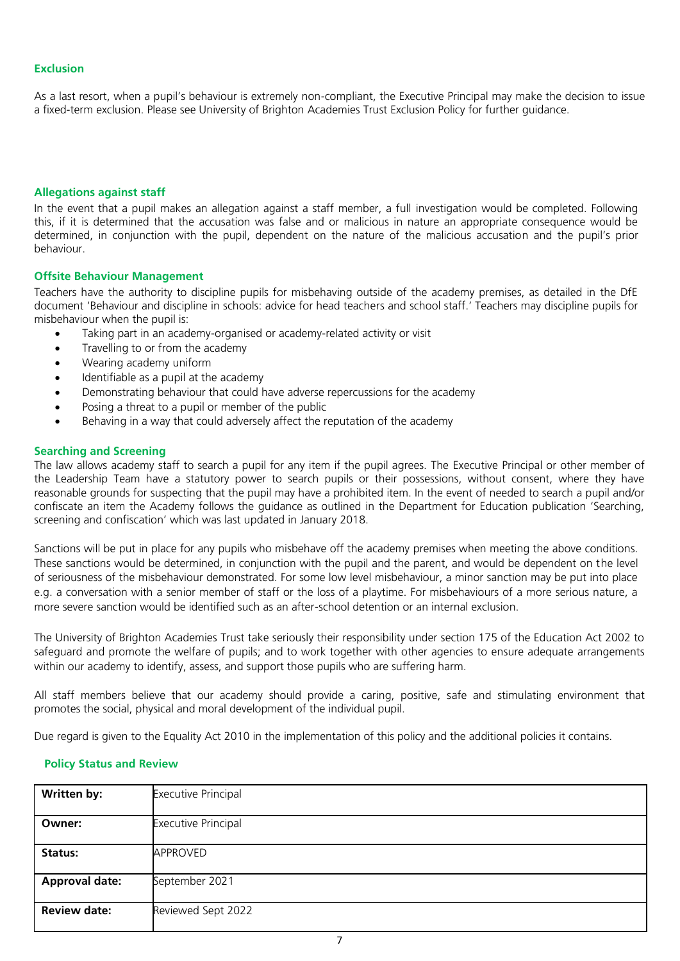# **Exclusion**

As a last resort, when a pupil's behaviour is extremely non-compliant, the Executive Principal may make the decision to issue a fixed-term exclusion. Please see University of Brighton Academies Trust Exclusion Policy for further guidance.

### **Allegations against staff**

In the event that a pupil makes an allegation against a staff member, a full investigation would be completed. Following this, if it is determined that the accusation was false and or malicious in nature an appropriate consequence would be determined, in conjunction with the pupil, dependent on the nature of the malicious accusation and the pupil's prior behaviour.

### **Offsite Behaviour Management**

Teachers have the authority to discipline pupils for misbehaving outside of the academy premises, as detailed in the DfE document 'Behaviour and discipline in schools: advice for head teachers and school staff.' Teachers may discipline pupils for misbehaviour when the pupil is:

- Taking part in an academy-organised or academy-related activity or visit
- Travelling to or from the academy
- Wearing academy uniform
- Identifiable as a pupil at the academy
- Demonstrating behaviour that could have adverse repercussions for the academy
- Posing a threat to a pupil or member of the public
- Behaving in a way that could adversely affect the reputation of the academy

### **Searching and Screening**

The law allows academy staff to search a pupil for any item if the pupil agrees. The Executive Principal or other member of the Leadership Team have a statutory power to search pupils or their possessions, without consent, where they have reasonable grounds for suspecting that the pupil may have a prohibited item. In the event of needed to search a pupil and/or confiscate an item the Academy follows the guidance as outlined in the Department for Education publication 'Searching, screening and confiscation' which was last updated in January 2018.

Sanctions will be put in place for any pupils who misbehave off the academy premises when meeting the above conditions. These sanctions would be determined, in conjunction with the pupil and the parent, and would be dependent on the level of seriousness of the misbehaviour demonstrated. For some low level misbehaviour, a minor sanction may be put into place e.g. a conversation with a senior member of staff or the loss of a playtime. For misbehaviours of a more serious nature, a more severe sanction would be identified such as an after-school detention or an internal exclusion.

The University of Brighton Academies Trust take seriously their responsibility under section 175 of the Education Act 2002 to safeguard and promote the welfare of pupils; and to work together with other agencies to ensure adequate arrangements within our academy to identify, assess, and support those pupils who are suffering harm.

All staff members believe that our academy should provide a caring, positive, safe and stimulating environment that promotes the social, physical and moral development of the individual pupil.

Due regard is given to the Equality Act 2010 in the implementation of this policy and the additional policies it contains.

# **Policy Status and Review**

| Written by:           | <b>Executive Principal</b> |
|-----------------------|----------------------------|
| Owner:                | <b>Executive Principal</b> |
| <b>Status:</b>        | APPROVED                   |
| <b>Approval date:</b> | September 2021             |
| <b>Review date:</b>   | Reviewed Sept 2022         |